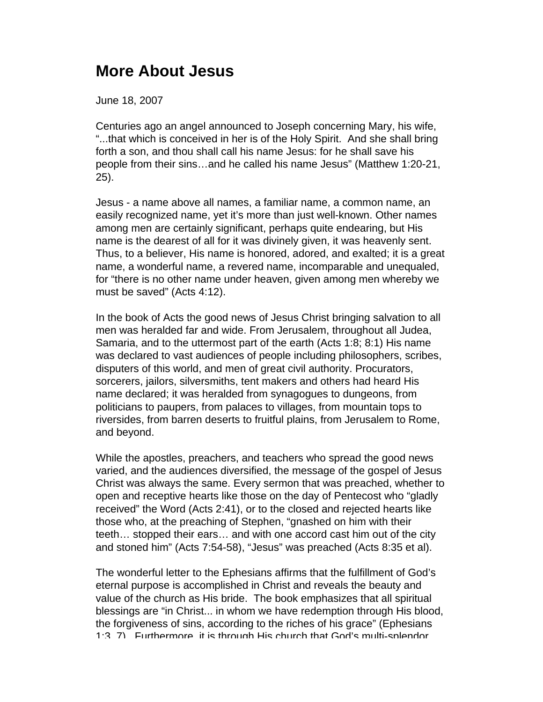## **More About Jesus**

June 18, 2007

Centuries ago an angel announced to Joseph concerning Mary, his wife, "...that which is conceived in her is of the Holy Spirit. And she shall bring forth a son, and thou shall call his name Jesus: for he shall save his people from their sins…and he called his name Jesus" (Matthew 1:20-21, 25).

Jesus - a name above all names, a familiar name, a common name, an easily recognized name, yet it's more than just well-known. Other names among men are certainly significant, perhaps quite endearing, but His name is the dearest of all for it was divinely given, it was heavenly sent. Thus, to a believer, His name is honored, adored, and exalted; it is a great name, a wonderful name, a revered name, incomparable and unequaled, for "there is no other name under heaven, given among men whereby we must be saved" (Acts 4:12).

In the book of Acts the good news of Jesus Christ bringing salvation to all men was heralded far and wide. From Jerusalem, throughout all Judea, Samaria, and to the uttermost part of the earth (Acts 1:8; 8:1) His name was declared to vast audiences of people including philosophers, scribes, disputers of this world, and men of great civil authority. Procurators, sorcerers, jailors, silversmiths, tent makers and others had heard His name declared; it was heralded from synagogues to dungeons, from politicians to paupers, from palaces to villages, from mountain tops to riversides, from barren deserts to fruitful plains, from Jerusalem to Rome, and beyond.

While the apostles, preachers, and teachers who spread the good news varied, and the audiences diversified, the message of the gospel of Jesus Christ was always the same. Every sermon that was preached, whether to open and receptive hearts like those on the day of Pentecost who "gladly received" the Word (Acts 2:41), or to the closed and rejected hearts like those who, at the preaching of Stephen, "gnashed on him with their teeth… stopped their ears… and with one accord cast him out of the city and stoned him" (Acts 7:54-58), "Jesus" was preached (Acts 8:35 et al).

The wonderful letter to the Ephesians affirms that the fulfillment of God's eternal purpose is accomplished in Christ and reveals the beauty and value of the church as His bride. The book emphasizes that all spiritual blessings are "in Christ... in whom we have redemption through His blood, the forgiveness of sins, according to the riches of his grace" (Ephesians 1:3, 7). Furthermore, it is through His church that God's multi-splendor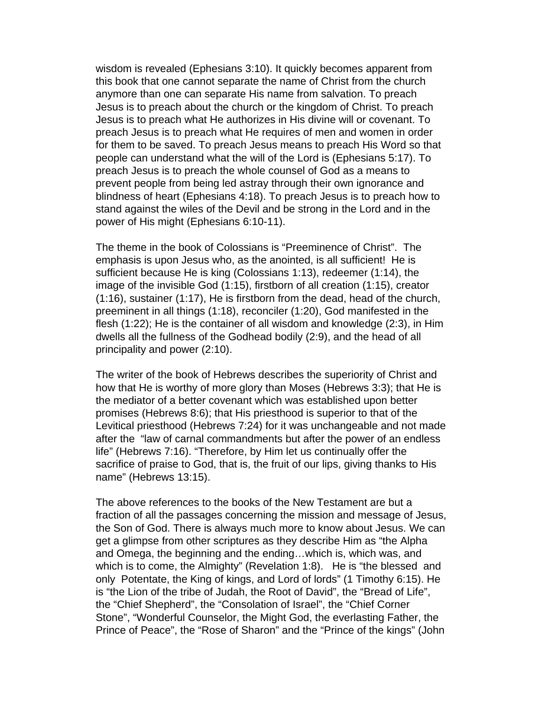wisdom is revealed (Ephesians 3:10). It quickly becomes apparent from this book that one cannot separate the name of Christ from the church anymore than one can separate His name from salvation. To preach Jesus is to preach about the church or the kingdom of Christ. To preach Jesus is to preach what He authorizes in His divine will or covenant. To preach Jesus is to preach what He requires of men and women in order for them to be saved. To preach Jesus means to preach His Word so that people can understand what the will of the Lord is (Ephesians 5:17). To preach Jesus is to preach the whole counsel of God as a means to prevent people from being led astray through their own ignorance and blindness of heart (Ephesians 4:18). To preach Jesus is to preach how to stand against the wiles of the Devil and be strong in the Lord and in the power of His might (Ephesians 6:10-11).

The theme in the book of Colossians is "Preeminence of Christ". The emphasis is upon Jesus who, as the anointed, is all sufficient! He is sufficient because He is king (Colossians 1:13), redeemer (1:14), the image of the invisible God (1:15), firstborn of all creation (1:15), creator (1:16), sustainer (1:17), He is firstborn from the dead, head of the church, preeminent in all things (1:18), reconciler (1:20), God manifested in the flesh (1:22); He is the container of all wisdom and knowledge (2:3), in Him dwells all the fullness of the Godhead bodily (2:9), and the head of all principality and power (2:10).

The writer of the book of Hebrews describes the superiority of Christ and how that He is worthy of more glory than Moses (Hebrews 3:3); that He is the mediator of a better covenant which was established upon better promises (Hebrews 8:6); that His priesthood is superior to that of the Levitical priesthood (Hebrews 7:24) for it was unchangeable and not made after the "law of carnal commandments but after the power of an endless life" (Hebrews 7:16). "Therefore, by Him let us continually offer the sacrifice of praise to God, that is, the fruit of our lips, giving thanks to His name" (Hebrews 13:15).

The above references to the books of the New Testament are but a fraction of all the passages concerning the mission and message of Jesus, the Son of God. There is always much more to know about Jesus. We can get a glimpse from other scriptures as they describe Him as "the Alpha and Omega, the beginning and the ending…which is, which was, and which is to come, the Almighty" (Revelation 1:8). He is "the blessed and only Potentate, the King of kings, and Lord of lords" (1 Timothy 6:15). He is "the Lion of the tribe of Judah, the Root of David", the "Bread of Life", the "Chief Shepherd", the "Consolation of Israel", the "Chief Corner Stone", "Wonderful Counselor, the Might God, the everlasting Father, the Prince of Peace", the "Rose of Sharon" and the "Prince of the kings" (John